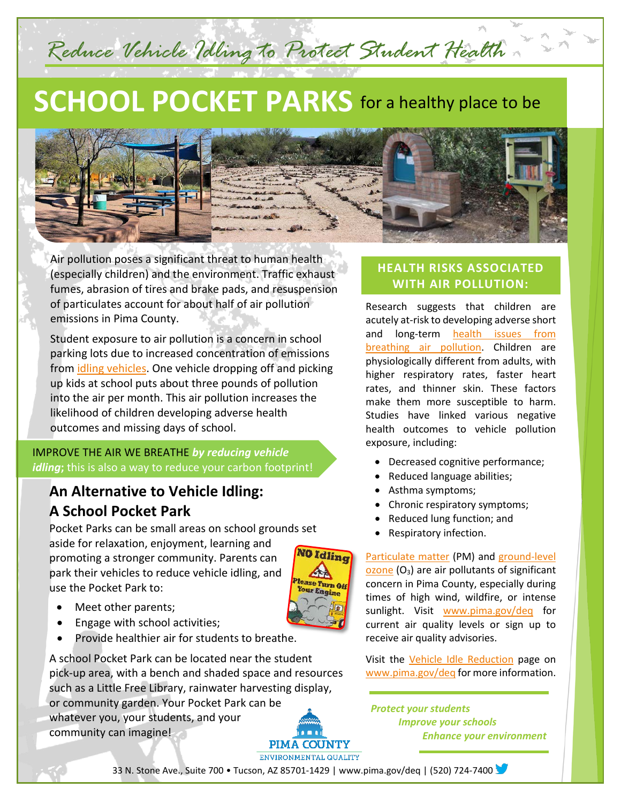# **SCHOOL POCKET PARKS** for a healthy place to be

*Reduce Vehicle Idling to Protect Student Health*



Air pollution poses a significant threat to human health (especially children) and the environment. Traffic exhaust fumes, abrasion of tires and brake pads, and resuspension of particulates account for about half of air pollution emissions in Pima County.

Student exposure to air pollution is a concern in school parking lots due to increased concentration of emissions from [idling vehicles.](http://webcms.pima.gov/cms/One.aspx?portalId=169&pageId=346860) One vehicle dropping off and picking up kids at school puts about three pounds of pollution into the air per month. This air pollution increases the likelihood of children developing adverse health outcomes and missing days of school.

#### IMPROVE THE AIR WE BREATHE *by reducing vehicle idling***;** this is also a way to reduce your carbon footprint!

### **An Alternative to Vehicle Idling: A School Pocket Park**

Pocket Parks can be small areas on school grounds set aside for relaxation, enjoyment, learning and **10 Idling** promoting a stronger community. Parents can park their vehicles to reduce vehicle idling, and ase Turn Off use the Pocket Park to: ur Engin

• Meet other parents;

*`*

- Engage with school activities;
- Provide healthier air for students to breathe.

A school Pocket Park can be located near the student pick-up area, with a bench and shaded space and resources such as a Little Free Library, rainwater harvesting display, or community garden. Your Pocket Park can be whatever you, your students, and your community can imagine!

## **PIMA COUNTY** ENVIRONMENTAL QUALITY

#### **HEALTH RISKS ASSOCIATED WITH AIR POLLUTION:**

Research suggests that children are acutely at-risk to developing adverse short and long-term [health issues from](http://webcms.pima.gov/cms/One.aspx?portalId=169&pageId=62647)  [breathing air pollution.](http://webcms.pima.gov/cms/One.aspx?portalId=169&pageId=62647) Children are physiologically different from adults, with higher respiratory rates, faster heart rates, and thinner skin. These factors make them more susceptible to harm. Studies have linked various negative health outcomes to vehicle pollution exposure, including:

- Decreased cognitive performance;
- Reduced language abilities;
- Asthma symptoms;
- Chronic respiratory symptoms;
- Reduced lung function; and
- Respiratory infection.

[Particulate matter](http://webcms.pima.gov/cms/one.aspx?portalId=169&pageId=167257) (PM) and [ground-level](http://webcms.pima.gov/cms/one.aspx?portalId=169&pageId=167240)   $\alpha$  [ozone](http://webcms.pima.gov/cms/one.aspx?portalId=169&pageId=167240) ( $O_3$ ) are air pollutants of significant concern in Pima County, especially during times of high wind, wildfire, or intense sunlight. Visit [www.pima.gov/deq](http://www.pima.gov/deq) for current air quality levels or sign up to receive air quality advisories.

Visit the [Vehicle Idle Reduction](http://webcms.pima.gov/cms/One.aspx?portalId=169&pageId=346860) page on [www.pima.gov/deq](http://www.pima.gov/deq) for more information.

*Protect your students Improve your schools Enhance your environment* 

33 N. Stone Ave., Suite 700 • Tucson, AZ 85701-1429 [| www.pima.gov/deq](http://www.pima.gov/deq) | (520) 724-7400